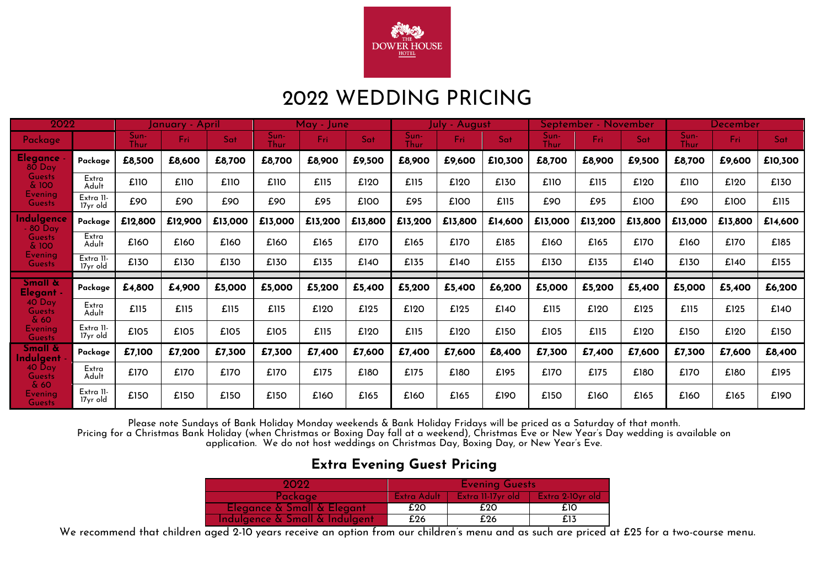

## 2022 WEDDING PRICING

| 2022                                     |                       | January - April |         |         |                     | May - June |         |                     | July - August |         |              | <u> September - November</u> |         |              | December |         |  |
|------------------------------------------|-----------------------|-----------------|---------|---------|---------------------|------------|---------|---------------------|---------------|---------|--------------|------------------------------|---------|--------------|----------|---------|--|
| Package                                  |                       | Sun-<br>Thur    | Fri.    | Sat     | Sun-<br><b>Thur</b> | Fri.       | Sat     | Sun-<br><b>Thur</b> | Fri           | Sat     | Sun-<br>Thur | Fri:                         | Sat     | Sun-<br>Thur | Fri:     | Sat     |  |
| Elegance<br>80 Day                       | Package               | £8,500          | £8,600  | £8,700  | £8,700              | £8,900     | £9,500  | £8,900              | £9,600        | £10,300 | £8,700       | £8,900                       | £9,500  | £8,700       | £9,600   | £10,300 |  |
| <b>Guests</b><br>& 100                   | Extra<br>Adult        | £110            | £110    | £110    | £110                | £115       | £120    | £115                | £120          | £130    | £110         | £115                         | £120    | £110         | £120     | £130    |  |
| Evening<br><b>Guests</b>                 | Extra II-<br>17yr old | £90             | £90     | £90     | £90                 | £95        | £100    | £95                 | £100          | £115    | £90          | £95                          | £100    | £90          | £100     | £115    |  |
| <b>Indulgence</b><br>$-80$ Day           | Package               | £12,800         | £12,900 | £13,000 | £13,000             | £13,200    | £13,800 | £13,200             | £13,800       | £14,600 | £13,000      | £13,200                      | £13,800 | £13,000      | £13,800  | £14,600 |  |
| <b>Guests</b><br>& 100                   | Extra<br>Adult        | £160            | £160    | £160    | £160                | £165       | £170    | £165                | £170          | £185    | £160         | £165                         | £170    | £160         | £170     | £185    |  |
| <b>Evening</b><br><b>Guests</b>          | Extra II.<br>17yr old | £130            | £130    | £130    | £130                | £135       | £140    | £135                | £140          | £155    | £130         | £135                         | £140    | £130         | £140     | £155    |  |
| Small &<br>Elegant -                     | Package               | £4,800          | £4,900  | £5,000  | £5,000              | £5,200     | £5,400  | £5,200              | £5,400        | £6,200  | £5,000       | £5,200                       | £5,400  | £5,000       | £5,400   | £6,200  |  |
| $40$ Day<br><b>Guests</b><br>$\delta$ 60 | Extra<br>Adult        | £115            | £115    | £115    | £115                | £120       | £125    | £120                | £125          | £140    | £115         | £120                         | £125    | £115         | £125     | £140    |  |
| Evening<br><b>Guests</b>                 | Extra II-<br>17yr old | £105            | £105    | £105    | £105                | £115       | £120    | £115                | £120          | £150    | £105         | £115                         | £120    | £150         | £120     | £150    |  |
| Small &<br><b>Indulgent</b>              | Package               | £7,100          | £7,200  | £7,300  | £7,300              | £7,400     | £7,600  | £7,400              | £7,600        | £8,400  | £7,300       | £7,400                       | £7,600  | £7,300       | £7,600   | £8,400  |  |
| 40 Day<br><b>Guests</b>                  | Extra<br>Adult        | £170            | £170    | £170    | £170                | £175       | £180    | £175                | £180          | £195    | £170         | £175                         | £180    | £170         | £180     | £195    |  |
| & 60<br><b>Evening</b><br><b>Guests</b>  | Extra II.<br>17yr old | £150            | £150    | £150    | £150                | £160       | £165    | £160                | £165          | £190    | £150         | £160                         | £165    | £160         | £165     | £190    |  |

Please note Sundays of Bank Holiday Monday weekends & Bank Holiday Fridays will be priced as a Saturday of that month.

Pricing for a Christmas Bank Holiday (when Christmas or Boxing Day fall at a weekend), Christmas Eve or New Year's Day wedding is available on application. We do not host weddings on Christmas Day, Boxing Day, or New Year's Eve.

#### **Extra Evening Guest Pricing**

| 9099                           | <b>Evening Guests</b> |                    |                   |  |  |  |  |
|--------------------------------|-----------------------|--------------------|-------------------|--|--|--|--|
| Package i                      | - Extra Adult         | Extra 11-17 vr old | Extra 2-10yr old/ |  |  |  |  |
| Elegance & Small & Elegant     | £20                   | £20                | £10               |  |  |  |  |
| Indulgence & Small & Indulgent | £26                   | £26                | £13               |  |  |  |  |

We recommend that children aged 2-10 years receive an option from our children's menu and as such are priced at £25 for a two-course menu.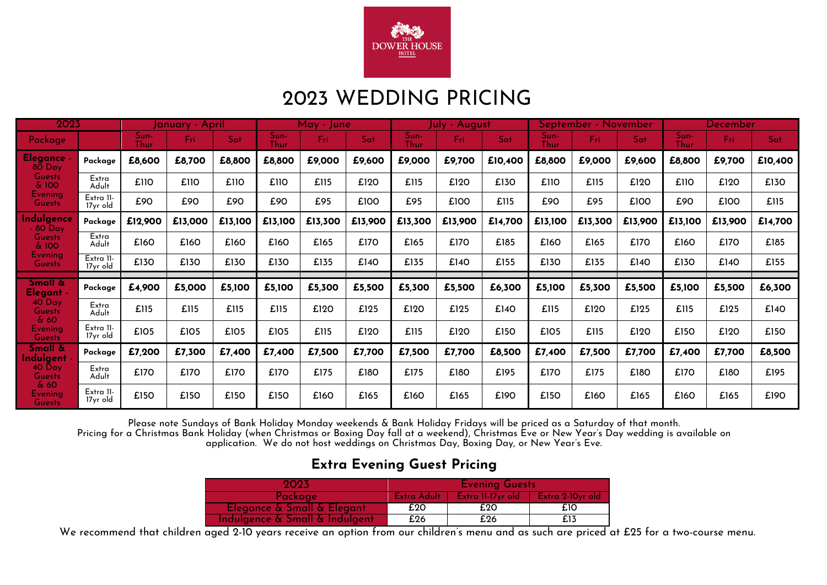

## 2023 WEDDING PRICING

| 2023                                  |                       | January - April     |         |         |              | May - June |         | uly - August |         |         | September - November |         |         | <b>December</b> |         |         |
|---------------------------------------|-----------------------|---------------------|---------|---------|--------------|------------|---------|--------------|---------|---------|----------------------|---------|---------|-----------------|---------|---------|
| Package                               |                       | Sun-<br><b>Thur</b> | Fri     | Sat     | Sun-<br>Thur | Fri:       | Sat     | Sun-<br>Thur | Fri:    | Sat     | Sun-<br>Thur         | Fri:    | Sat     | Sun-<br>Thur    | Fri     | Sat     |
| <b>Elegance</b><br>$80$ Day           | Package               | £8,600              | £8,700  | £8,800  | £8,800       | £9,000     | £9,600  | £9,000       | £9,700  | £10,400 | £8,800               | £9,000  | £9,600  | £8,800          | £9,700  | £10,400 |
| <b>Guests</b><br>& 100                | Extra<br>Adult        | £110                | £110    | £110    | £110         | £115       | £120    | £115         | £120    | £130    | £110                 | £115    | £120    | £110            | £120    | £130    |
| <b>Evening</b><br>Guests              | Extra 11-<br>17yr old | £90                 | £90     | £90     | £90          | £95        | £100    | £95          | £100    | £115    | £90                  | £95     | £100    | £90             | £100    | £115    |
| ndulgence<br>$-80$ Day                | Package               | £12,900             | £13,000 | £13,100 | £13,100      | £13,300    | £13,900 | £13,300      | £13,900 | £14,700 | £13,100              | £13,300 | £13,900 | £13,100         | £13,900 | £14,700 |
| <b>Guests</b><br>& 100                | Extra<br>Adult        | £160                | £160    | £160    | £160         | £165       | £170    | £165         | £170    | £185    | £160                 | £165    | £170    | £160            | £170    | £185    |
| <b>Evening</b><br><b>Guests</b>       | Extra II-<br>17yr old | £130                | £130    | £130    | £130         | £135       | £140    | £135         | £140    | £155    | £130                 | £135    | £140    | £130            | £140    | £155    |
| <b>Small &amp;</b>                    | Package               | £4,900              | £5,000  | £5,100  | £5,100       | £5,300     | £5,500  | £5,300       | £5,500  | £6,300  | £5,100               | £5,300  | £5,500  | £5,100          | £5,500  | £6,300  |
| Elegant -<br>$40^{\circ}$ Day         |                       |                     |         |         |              |            |         |              |         |         |                      |         |         |                 |         |         |
| <b>Guests</b><br>$\&60$               | Extra<br>Adult        | £115                | £115    | £115    | £115         | £120       | £125    | £120         | £125    | £140    | £115                 | £120    | £125    | £115            | £125    | £140    |
| Evening<br><b>Guests</b>              | Extra II-<br>17yr old | £105                | £105    | £105    | £105         | £115       | £120    | £115         | £120    | £150    | £105                 | £115    | £120    | £150            | £120    | £150    |
| <b>Small &amp;</b><br><b>ndulgent</b> | Package               | £7,200              | £7,300  | £7,400  | £7,400       | £7,500     | £7,700  | £7,500       | £7,700  | £8,500  | £7,400               | £7,500  | £7,700  | £7,400          | £7,700  | £8,500  |
| 40 Day<br><b>Guests</b>               | Extra<br>Adult        | £170                | £170    | £170    | £170         | £175       | £180    | £175         | £180    | £195    | £170                 | £175    | £180    | £170            | £180    | £195    |
| $\&60$<br>Evening<br><b>Guests</b>    | Extra II-<br>17yr old | £150                | £150    | £150    | £150         | £160       | £165    | £160         | £165    | £190    | £150                 | £160    | £165    | £160            | £165    | £190    |

Please note Sundays of Bank Holiday Monday weekends & Bank Holiday Fridays will be priced as a Saturday of that month.

Pricing for a Christmas Bank Holiday (when Christmas or Boxing Day fall at a weekend), Christmas Eve or New Year's Day wedding is available on application. We do not host weddings on Christmas Day, Boxing Day, or New Year's Eve.

#### **Extra Evening Guest Pricing**

| 2023                           | <b>Evening Guests</b> |                   |                    |  |  |  |  |
|--------------------------------|-----------------------|-------------------|--------------------|--|--|--|--|
| 'Packaae l                     | - Extra Adult         | Extra 11-17yr old | – Extra 2-10vr old |  |  |  |  |
| Elegance & Small & Elegant     | £20                   | £20               | £10                |  |  |  |  |
| Indulgence & Small & Indulgent | £26                   | £26               | £13                |  |  |  |  |

We recommend that children aged 2-10 years receive an option from our children's menu and as such are priced at £25 for a two-course menu.